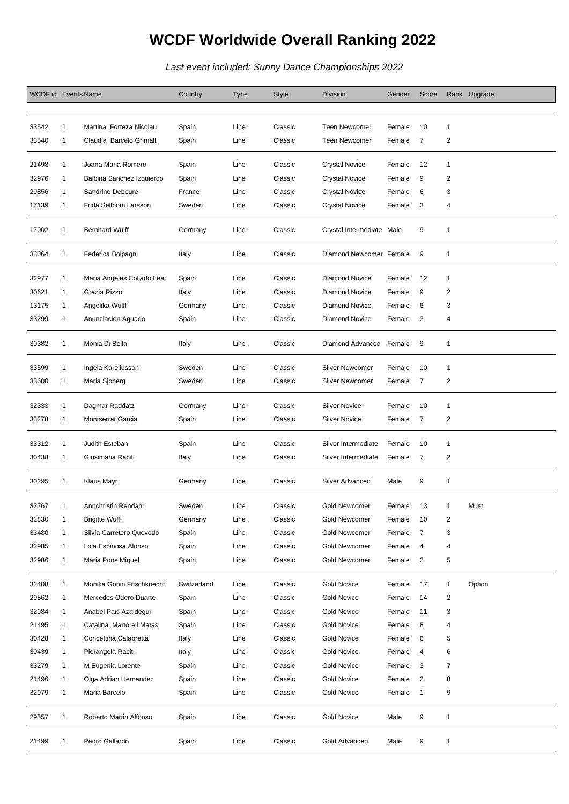## **WCDF Worldwide Overall Ranking 2022**

Last event included: Sunny Dance Championships 2022

| WCDF id Events Name |              |                            | Country     | <b>Type</b> | Style   | <b>Division</b>           | Gender | Score          |                | Rank Upgrade |
|---------------------|--------------|----------------------------|-------------|-------------|---------|---------------------------|--------|----------------|----------------|--------------|
|                     |              |                            |             |             |         |                           |        |                |                |              |
| 33542               | 1            | Martina Forteza Nicolau    | Spain       | Line        | Classic | <b>Teen Newcomer</b>      | Female | 10             | $\mathbf{1}$   |              |
| 33540               | 1            | Claudia Barcelo Grimalt    | Spain       | Line        | Classic | <b>Teen Newcomer</b>      | Female | $\overline{7}$ | $\overline{c}$ |              |
|                     |              |                            |             |             |         |                           |        |                |                |              |
| 21498               | 1            | Joana Maria Romero         | Spain       | Line        | Classic | <b>Crystal Novice</b>     | Female | 12             | 1              |              |
| 32976               | 1            | Balbina Sanchez Izquierdo  | Spain       | Line        | Classic | <b>Crystal Novice</b>     | Female | 9              | 2              |              |
| 29856               | 1            | Sandrine Debeure           | France      | Line        | Classic | <b>Crystal Novice</b>     | Female | 6              | 3              |              |
| 17139               | 1            | Frida Sellbom Larsson      | Sweden      | Line        | Classic | <b>Crystal Novice</b>     | Female | 3              | 4              |              |
| 17002               | 1            | <b>Bernhard Wulff</b>      | Germany     | Line        | Classic | Crystal Intermediate Male |        | 9              | $\mathbf{1}$   |              |
| 33064               | 1            | Federica Bolpagni          | Italy       | Line        | Classic | Diamond Newcomer Female   |        | 9              | $\mathbf{1}$   |              |
| 32977               | 1            | Maria Angeles Collado Leal | Spain       | Line        | Classic | <b>Diamond Novice</b>     | Female | 12             | $\mathbf{1}$   |              |
| 30621               | 1            | Grazia Rizzo               | Italy       | Line        | Classic | <b>Diamond Novice</b>     | Female | 9              | $\overline{2}$ |              |
| 13175               | 1            | Angelika Wulff             | Germany     | Line        | Classic | <b>Diamond Novice</b>     | Female | 6              | 3              |              |
| 33299               | 1            | Anunciacion Aguado         | Spain       | Line        | Classic | <b>Diamond Novice</b>     | Female | 3              | 4              |              |
| 30382               | 1            | Monia Di Bella             | Italy       | Line        | Classic | Diamond Advanced          | Female | 9              | $\mathbf{1}$   |              |
| 33599               | 1            | Ingela Kareliusson         | Sweden      | Line        | Classic | <b>Silver Newcomer</b>    | Female | 10             | $\mathbf{1}$   |              |
| 33600               | 1            | Maria Sjoberg              | Sweden      | Line        | Classic | Silver Newcomer           | Female | $\overline{7}$ | 2              |              |
|                     |              |                            |             |             |         |                           |        |                |                |              |
| 32333               | 1            | Dagmar Raddatz             | Germany     | Line        | Classic | <b>Silver Novice</b>      | Female | 10             | $\mathbf{1}$   |              |
| 33278               | 1            | <b>Montserrat Garcia</b>   | Spain       | Line        | Classic | <b>Silver Novice</b>      | Female | 7              | $\overline{c}$ |              |
|                     |              |                            |             |             |         |                           |        |                |                |              |
| 33312               | 1            | Judith Esteban             | Spain       | Line        | Classic | Silver Intermediate       | Female | 10             | $\mathbf{1}$   |              |
| 30438               | 1            | Giusimaria Raciti          | Italy       | Line        | Classic | Silver Intermediate       | Female | 7              | 2              |              |
| 30295               | 1            | Klaus Mayr                 | Germany     | Line        | Classic | Silver Advanced           | Male   | 9              | 1              |              |
| 32767               | 1            | Annchristin Rendahl        | Sweden      | Line        | Classic | <b>Gold Newcomer</b>      | Female | 13             | 1              | Must         |
| 32830               | $\mathbf{1}$ | <b>Brigitte Wulff</b>      | Germany     | Line        | Classic | Gold Newcomer             | Female | 10             | $\overline{c}$ |              |
| 33480               | 1            | Silvia Carretero Quevedo   | Spain       | Line        | Classic | Gold Newcomer             | Female | $\overline{7}$ | 3              |              |
| 32985               | $\mathbf{1}$ | Lola Espinosa Alonso       | Spain       | Line        | Classic | Gold Newcomer             | Female | 4              | 4              |              |
| 32986               | $\mathbf{1}$ | Maria Pons Miquel          | Spain       | Line        | Classic | Gold Newcomer             | Female | $\overline{2}$ | 5              |              |
|                     |              |                            |             |             |         |                           |        |                |                |              |
| 32408               | 1            | Monika Gonin Frischknecht  | Switzerland | Line        | Classic | <b>Gold Novice</b>        | Female | 17             | $\mathbf{1}$   | Option       |
| 29562               | $\mathbf{1}$ | Mercedes Odero Duarte      | Spain       | Line        | Classic | Gold Novice               | Female | 14             | $\overline{c}$ |              |
| 32984               | 1            | Anabel Pais Azaldegui      | Spain       | Line        | Classic | <b>Gold Novice</b>        | Female | 11             | 3              |              |
| 21495               | 1            | Catalina Martorell Matas   | Spain       | Line        | Classic | <b>Gold Novice</b>        | Female | 8              | 4              |              |
| 30428               | 1            | Concettina Calabretta      | Italy       | Line        | Classic | Gold Novice               | Female | 6              | 5              |              |
| 30439               | $\mathbf{1}$ | Pierangela Raciti          | Italy       | Line        | Classic | <b>Gold Novice</b>        | Female | 4              | 6              |              |
| 33279               | $\mathbf{1}$ | M Eugenia Lorente          | Spain       | Line        | Classic | <b>Gold Novice</b>        | Female | 3              | 7              |              |
| 21496               | 1            | Olga Adrian Hernandez      | Spain       | Line        | Classic | Gold Novice               | Female | 2              | 8              |              |
| 32979               | 1            | Maria Barcelo              | Spain       | Line        | Classic | <b>Gold Novice</b>        | Female | $\mathbf{1}$   | 9              |              |
| 29557               | 1            | Roberto Martin Alfonso     | Spain       | Line        | Classic | <b>Gold Novice</b>        | Male   | 9              | $\mathbf{1}$   |              |
| 21499               | 1            | Pedro Gallardo             | Spain       | Line        | Classic | Gold Advanced             | Male   | 9              | 1              |              |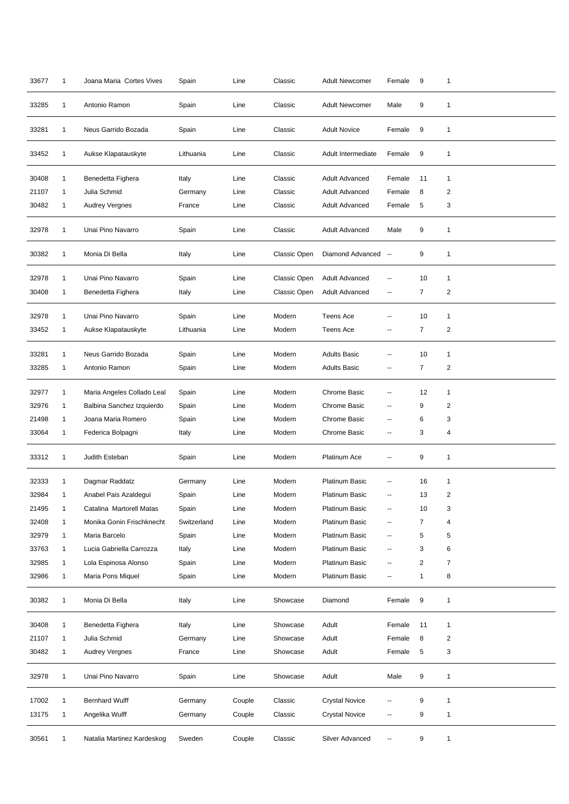| 33677 | $\mathbf{1}$   | Joana Maria Cortes Vives   | Spain       | Line   | Classic      | <b>Adult Newcomer</b> | Female         | 9              | 1              |
|-------|----------------|----------------------------|-------------|--------|--------------|-----------------------|----------------|----------------|----------------|
| 33285 | 1              | Antonio Ramon              | Spain       | Line   | Classic      | <b>Adult Newcomer</b> | Male           | 9              | 1              |
| 33281 | 1              | Neus Garrido Bozada        | Spain       | Line   | Classic      | <b>Adult Novice</b>   | Female         | 9              | 1              |
| 33452 | $\mathbf{1}$   | Aukse Klapatauskyte        | Lithuania   | Line   | Classic      | Adult Intermediate    | Female         | 9              | 1              |
| 30408 | $\mathbf{1}$   | Benedetta Fighera          | Italy       | Line   | Classic      | <b>Adult Advanced</b> | Female         | 11             | 1              |
| 21107 | $\mathbf{1}$   | Julia Schmid               | Germany     | Line   | Classic      | <b>Adult Advanced</b> | Female         | 8              | 2              |
| 30482 | $\mathbf{1}$   | <b>Audrey Vergnes</b>      | France      | Line   | Classic      | <b>Adult Advanced</b> | Female         | 5              | 3              |
| 32978 | $\mathbf{1}$   | Unai Pino Navarro          | Spain       | Line   | Classic      | Adult Advanced        | Male           | 9              | $\mathbf{1}$   |
| 30382 | 1              | Monia Di Bella             | Italy       | Line   | Classic Open | Diamond Advanced --   |                | 9              | $\mathbf{1}$   |
| 32978 | 1              | Unai Pino Navarro          | Spain       | Line   | Classic Open | <b>Adult Advanced</b> | --             | 10             | 1              |
| 30408 | 1              | Benedetta Fighera          | Italy       | Line   | Classic Open | Adult Advanced        | ۰.             | $\overline{7}$ | $\overline{c}$ |
| 32978 | $\overline{1}$ | Unai Pino Navarro          | Spain       | Line   | Modern       | <b>Teens Ace</b>      |                | 10             | 1              |
| 33452 | 1              | Aukse Klapatauskyte        | Lithuania   | Line   | Modern       | <b>Teens Ace</b>      | --             | $\overline{7}$ | $\overline{c}$ |
|       |                |                            |             |        |              |                       |                |                |                |
| 33281 | $\mathbf{1}$   | Neus Garrido Bozada        | Spain       | Line   | Modern       | <b>Adults Basic</b>   | --             | 10             | 1              |
| 33285 | 1              | Antonio Ramon              | Spain       | Line   | Modern       | <b>Adults Basic</b>   | --             | $\overline{7}$ | $\overline{2}$ |
| 32977 | 1              | Maria Angeles Collado Leal | Spain       | Line   | Modern       | <b>Chrome Basic</b>   |                | 12             | 1              |
| 32976 | $\mathbf{1}$   | Balbina Sanchez Izquierdo  | Spain       | Line   | Modern       | Chrome Basic          | --             | 9              | $\overline{2}$ |
| 21498 | 1              | Joana Maria Romero         | Spain       | Line   | Modern       | Chrome Basic          | $\overline{a}$ | 6              | 3              |
| 33064 | 1              | Federica Bolpagni          | Italy       | Line   | Modern       | Chrome Basic          | --             | 3              | 4              |
| 33312 | $\mathbf{1}$   | Judith Esteban             | Spain       | Line   | Modern       | Platinum Ace          | --             | 9              | 1              |
| 32333 | 1              | Dagmar Raddatz             | Germany     | Line   | Modern       | <b>Platinum Basic</b> |                | 16             | 1              |
| 32984 | 1              | Anabel Pais Azaldegui      | Spain       | Line   | Modern       | Platinum Basic        |                | 13             | $\overline{c}$ |
| 21495 | $\mathbf{1}$   | Catalina Martorell Matas   | Spain       | Line   | Modern       | <b>Platinum Basic</b> | --             | 10             | 3              |
| 32408 | 1              | Monika Gonin Frischknecht  | Switzerland | Line   | Modern       | Platinum Basic        |                | 7              | 4              |
| 32979 | $\mathbf{1}$   | Maria Barcelo              | Spain       | Line   | Modern       | Platinum Basic        | --             | 5              | 5              |
| 33763 | $\mathbf{1}$   | Lucia Gabriella Carrozza   | Italy       | Line   | Modern       | Platinum Basic        | --             | 3              | 6              |
| 32985 | $\mathbf{1}$   | Lola Espinosa Alonso       | Spain       | Line   | Modern       | Platinum Basic        | --             | $\overline{c}$ | 7              |
| 32986 | $\mathbf{1}$   | Maria Pons Miquel          | Spain       | Line   | Modern       | Platinum Basic        | ۰.             | 1              | 8              |
| 30382 | $\mathbf{1}$   | Monia Di Bella             | Italy       | Line   | Showcase     | Diamond               | Female         | 9              | 1              |
| 30408 | $\mathbf{1}$   | Benedetta Fighera          | Italy       | Line   | Showcase     | Adult                 | Female         | 11             | 1              |
| 21107 | 1              | Julia Schmid               | Germany     | Line   | Showcase     | Adult                 | Female         | 8              | 2              |
| 30482 | $\mathbf{1}$   | <b>Audrey Vergnes</b>      | France      | Line   | Showcase     | Adult                 | Female         | 5              | 3              |
| 32978 | $\mathbf{1}$   | Unai Pino Navarro          | Spain       | Line   | Showcase     | Adult                 | Male           | 9              | $\mathbf{1}$   |
| 17002 | 1              | <b>Bernhard Wulff</b>      | Germany     | Couple | Classic      | <b>Crystal Novice</b> |                | 9              | 1              |
| 13175 | $\mathbf{1}$   | Angelika Wulff             | Germany     | Couple | Classic      | <b>Crystal Novice</b> | $\overline{a}$ | 9              | 1              |
| 30561 | $\mathbf{1}$   | Natalia Martinez Kardeskog | Sweden      | Couple | Classic      | Silver Advanced       | --             | 9              | $\mathbf{1}$   |